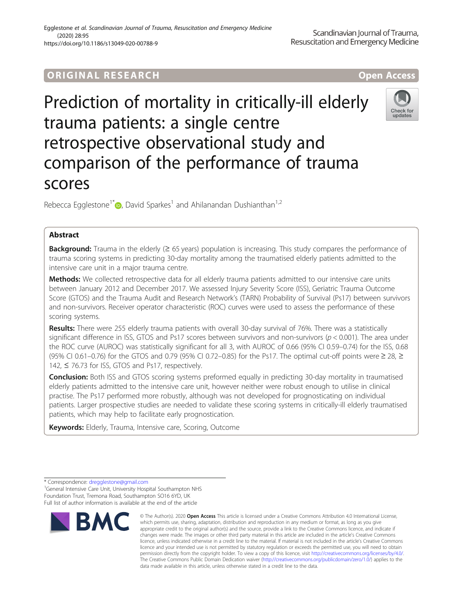## **ORIGINAL RESEARCH CONSERVERS AND LOCAL CONSERVERS**

# Prediction of mortality in critically-ill elderly trauma patients: a single centre retrospective observational study and comparison of the performance of trauma scores

Rebecca Egglestone<sup>1\*</sup>  $\bullet$ [,](http://orcid.org/0000-0001-8649-9065) David Sparkes<sup>1</sup> and Ahilanandan Dushianthan<sup>1,2</sup>

## Abstract

**Background:** Trauma in the elderly ( $\geq 65$  years) population is increasing. This study compares the performance of trauma scoring systems in predicting 30-day mortality among the traumatised elderly patients admitted to the intensive care unit in a major trauma centre.

Methods: We collected retrospective data for all elderly trauma patients admitted to our intensive care units between January 2012 and December 2017. We assessed Injury Severity Score (ISS), Geriatric Trauma Outcome Score (GTOS) and the Trauma Audit and Research Network's (TARN) Probability of Survival (Ps17) between survivors and non-survivors. Receiver operator characteristic (ROC) curves were used to assess the performance of these scoring systems.

Results: There were 255 elderly trauma patients with overall 30-day survival of 76%. There was a statistically significant difference in ISS, GTOS and Ps17 scores between survivors and non-survivors ( $p < 0.001$ ). The area under the ROC curve (AUROC) was statistically significant for all 3, with AUROC of 0.66 (95% CI 0.59–0.74) for the ISS, 0.68 (95% CI 0.61–0.76) for the GTOS and 0.79 (95% CI 0.72–0.85) for the Ps17. The optimal cut-off points were  $\geq 28$ ,  $\geq$ 142, ≤ 76.73 for ISS, GTOS and Ps17, respectively.

Conclusion: Both ISS and GTOS scoring systems preformed equally in predicting 30-day mortality in traumatised elderly patients admitted to the intensive care unit, however neither were robust enough to utilise in clinical practise. The Ps17 performed more robustly, although was not developed for prognosticating on individual patients. Larger prospective studies are needed to validate these scoring systems in critically-ill elderly traumatised patients, which may help to facilitate early prognostication.

Keywords: Elderly, Trauma, Intensive care, Scoring, Outcome

**BMC** 

<sup>1</sup>General Intensive Care Unit, University Hospital Southampton NHS Foundation Trust, Tremona Road, Southampton SO16 6YD, UK Full list of author information is available at the end of the article





<sup>\*</sup> Correspondence: [dregglestone@gmail.com](mailto:dregglestone@gmail.com) <sup>1</sup>

<sup>©</sup> The Author(s), 2020 **Open Access** This article is licensed under a Creative Commons Attribution 4.0 International License, which permits use, sharing, adaptation, distribution and reproduction in any medium or format, as long as you give appropriate credit to the original author(s) and the source, provide a link to the Creative Commons licence, and indicate if changes were made. The images or other third party material in this article are included in the article's Creative Commons licence, unless indicated otherwise in a credit line to the material. If material is not included in the article's Creative Commons licence and your intended use is not permitted by statutory regulation or exceeds the permitted use, you will need to obtain permission directly from the copyright holder. To view a copy of this licence, visit [http://creativecommons.org/licenses/by/4.0/.](http://creativecommons.org/licenses/by/4.0/) The Creative Commons Public Domain Dedication waiver [\(http://creativecommons.org/publicdomain/zero/1.0/](http://creativecommons.org/publicdomain/zero/1.0/)) applies to the data made available in this article, unless otherwise stated in a credit line to the data.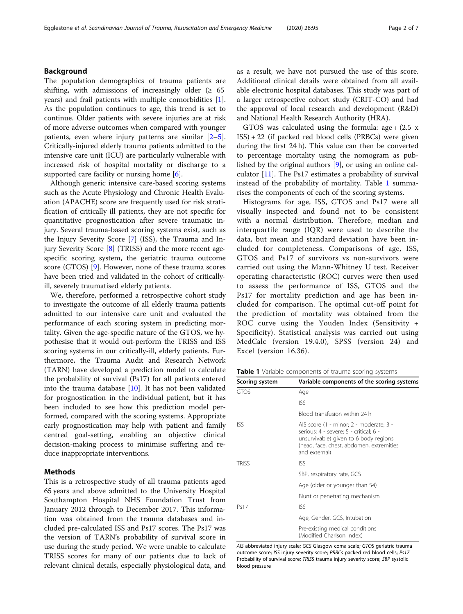## Background

The population demographics of trauma patients are shifting, with admissions of increasingly older ( $\geq 65$ ) years) and frail patients with multiple comorbidities [\[1](#page-6-0)]. As the population continues to age, this trend is set to continue. Older patients with severe injuries are at risk of more adverse outcomes when compared with younger patients, even where injury patterns are similar  $[2-5]$  $[2-5]$  $[2-5]$  $[2-5]$ . Critically-injured elderly trauma patients admitted to the intensive care unit (ICU) are particularly vulnerable with increased risk of hospital mortality or discharge to a supported care facility or nursing home  $[6]$ .

Although generic intensive care-based scoring systems such as the Acute Physiology and Chronic Health Evaluation (APACHE) score are frequently used for risk stratification of critically ill patients, they are not specific for quantitative prognostication after severe traumatic injury. Several trauma-based scoring systems exist, such as the Injury Severity Score [[7\]](#page-6-0) (ISS), the Trauma and Injury Severity Score [[8\]](#page-6-0) (TRISS) and the more recent agespecific scoring system, the geriatric trauma outcome score (GTOS) [[9\]](#page-6-0). However, none of these trauma scores have been tried and validated in the cohort of criticallyill, severely traumatised elderly patients.

We, therefore, performed a retrospective cohort study to investigate the outcome of all elderly trauma patients admitted to our intensive care unit and evaluated the performance of each scoring system in predicting mortality. Given the age-specific nature of the GTOS, we hypothesise that it would out-perform the TRISS and ISS scoring systems in our critically-ill, elderly patients. Furthermore, the Trauma Audit and Research Network (TARN) have developed a prediction model to calculate the probability of survival (Ps17) for all patients entered into the trauma database  $[10]$  $[10]$ . It has not been validated for prognostication in the individual patient, but it has been included to see how this prediction model performed, compared with the scoring systems. Appropriate early prognostication may help with patient and family centred goal-setting, enabling an objective clinical decision-making process to minimise suffering and reduce inappropriate interventions.

#### Methods

This is a retrospective study of all trauma patients aged 65 years and above admitted to the University Hospital Southampton Hospital NHS Foundation Trust from January 2012 through to December 2017. This information was obtained from the trauma databases and included pre-calculated ISS and Ps17 scores. The Ps17 was the version of TARN's probability of survival score in use during the study period. We were unable to calculate TRISS scores for many of our patients due to lack of relevant clinical details, especially physiological data, and

as a result, we have not pursued the use of this score. Additional clinical details were obtained from all available electronic hospital databases. This study was part of a larger retrospective cohort study (CRIT-CO) and had the approval of local research and development (R&D) and National Health Research Authority (HRA).

GTOS was calculated using the formula:  $age + (2.5 x)$ ISS) + 22 (if packed red blood cells (PRBCs) were given during the first 24 h). This value can then be converted to percentage mortality using the nomogram as published by the original authors [[9\]](#page-6-0), or using an online calculator [[11\]](#page-6-0). The Ps17 estimates a probability of survival instead of the probability of mortality. Table 1 summarises the components of each of the scoring systems.

Histograms for age, ISS, GTOS and Ps17 were all visually inspected and found not to be consistent with a normal distribution. Therefore, median and interquartile range (IQR) were used to describe the data, but mean and standard deviation have been included for completeness. Comparisons of age, ISS, GTOS and Ps17 of survivors vs non-survivors were carried out using the Mann-Whitney U test. Receiver operating characteristic (ROC) curves were then used to assess the performance of ISS, GTOS and the Ps17 for mortality prediction and age has been included for comparison. The optimal cut-off point for the prediction of mortality was obtained from the ROC curve using the Youden Index (Sensitivity + Specificity). Statistical analysis was carried out using MedCalc (version 19.4.0), SPSS (version 24) and Excel (version 16.36).

Table 1 Variable components of trauma scoring systems

| Scoring system | Variable components of the scoring systems                                                                                                                                              |  |  |
|----------------|-----------------------------------------------------------------------------------------------------------------------------------------------------------------------------------------|--|--|
| <b>GTOS</b>    | Age                                                                                                                                                                                     |  |  |
|                | ISS.                                                                                                                                                                                    |  |  |
|                | Blood transfusion within 24 h                                                                                                                                                           |  |  |
| <b>ISS</b>     | AIS score (1 - minor; 2 - moderate; 3 -<br>serious; 4 - severe; 5 - critical; 6 -<br>unsurvivable) given to 6 body regions<br>(head, face, chest, abdomen, extremities<br>and external) |  |  |
| <b>TRISS</b>   | ISS                                                                                                                                                                                     |  |  |
|                | SBP, respiratory rate, GCS                                                                                                                                                              |  |  |
|                | Age (older or younger than 54)                                                                                                                                                          |  |  |
|                | Blunt or penetrating mechanism                                                                                                                                                          |  |  |
| Ps17           | ISS                                                                                                                                                                                     |  |  |
|                | Age, Gender, GCS, Intubation                                                                                                                                                            |  |  |
|                | Pre-existing medical conditions<br>(Modified Charlson Index)                                                                                                                            |  |  |

AIS abbreviated injury scale; GCS Glasgow coma scale; GTOS geriatric trauma outcome score; ISS injury severity score; PRBCs packed red blood cells; Ps17 Probability of survival score; TRISS trauma injury severity score; SBP systolic blood pressure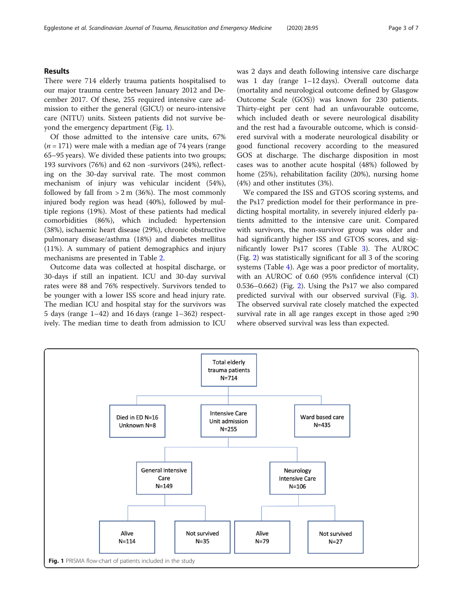## Results

There were 714 elderly trauma patients hospitalised to our major trauma centre between January 2012 and December 2017. Of these, 255 required intensive care admission to either the general (GICU) or neuro-intensive care (NITU) units. Sixteen patients did not survive beyond the emergency department (Fig. 1).

Of those admitted to the intensive care units, 67%  $(n = 171)$  were male with a median age of 74 years (range 65–95 years). We divided these patients into two groups; 193 survivors (76%) and 62 non -survivors (24%), reflecting on the 30-day survival rate. The most common mechanism of injury was vehicular incident (54%), followed by fall from  $> 2$  m (36%). The most commonly injured body region was head (40%), followed by multiple regions (19%). Most of these patients had medical comorbidities (86%), which included: hypertension (38%), ischaemic heart disease (29%), chronic obstructive pulmonary disease/asthma (18%) and diabetes mellitus (11%). A summary of patient demographics and injury mechanisms are presented in Table [2.](#page-3-0)

Outcome data was collected at hospital discharge, or 30-days if still an inpatient. ICU and 30-day survival rates were 88 and 76% respectively. Survivors tended to be younger with a lower ISS score and head injury rate. The median ICU and hospital stay for the survivors was 5 days (range 1–42) and 16 days (range 1–362) respectively. The median time to death from admission to ICU was 2 days and death following intensive care discharge was 1 day (range 1–12 days). Overall outcome data (mortality and neurological outcome defined by Glasgow Outcome Scale (GOS)) was known for 230 patients. Thirty-eight per cent had an unfavourable outcome, which included death or severe neurological disability and the rest had a favourable outcome, which is considered survival with a moderate neurological disability or good functional recovery according to the measured GOS at discharge. The discharge disposition in most cases was to another acute hospital (48%) followed by home (25%), rehabilitation facility (20%), nursing home (4%) and other institutes (3%).

We compared the ISS and GTOS scoring systems, and the Ps17 prediction model for their performance in predicting hospital mortality, in severely injured elderly patients admitted to the intensive care unit. Compared with survivors, the non-survivor group was older and had significantly higher ISS and GTOS scores, and significantly lower Ps17 scores (Table [3](#page-4-0)). The AUROC (Fig. [2](#page-4-0)) was statistically significant for all 3 of the scoring systems (Table [4](#page-5-0)). Age was a poor predictor of mortality, with an AUROC of 0.60 (95% confidence interval (CI) 0.536–0.662) (Fig. [2](#page-4-0)). Using the Ps17 we also compared predicted survival with our observed survival (Fig. [3](#page-5-0)). The observed survival rate closely matched the expected survival rate in all age ranges except in those aged ≥90 where observed survival was less than expected.

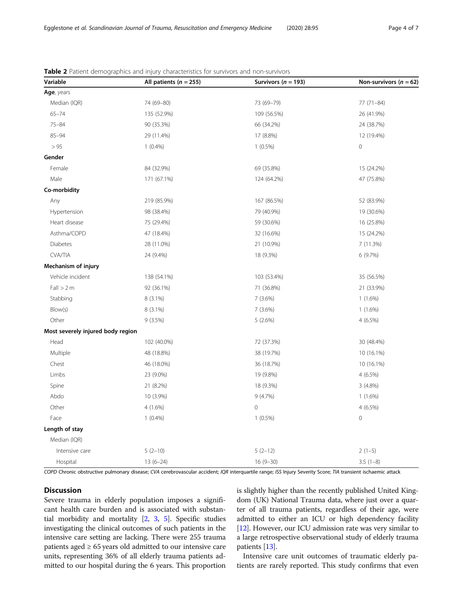| Variable                          | All patients ( $n = 255$ ) | Survivors ( $n = 193$ ) | Non-survivors ( $n = 62$ ) |  |
|-----------------------------------|----------------------------|-------------------------|----------------------------|--|
| Age, years                        |                            |                         |                            |  |
| Median (IQR)                      | 74 (69-80)                 | 73 (69-79)              | $77(71 - 84)$              |  |
| $65 - 74$                         | 135 (52.9%)                | 109 (56.5%)             | 26 (41.9%)                 |  |
| $75 - 84$                         | 90 (35.3%)                 | 66 (34.2%)              | 24 (38.7%)                 |  |
| $85 - 94$                         | 29 (11.4%)                 | 17 (8.8%)               | 12 (19.4%)                 |  |
| > 95                              | $1(0.4\%)$                 | $1(0.5\%)$              | $\mathbf 0$                |  |
| Gender                            |                            |                         |                            |  |
| Female                            | 84 (32.9%)                 | 69 (35.8%)              | 15 (24.2%)                 |  |
| Male                              | 171 (67.1%)                | 124 (64.2%)             | 47 (75.8%)                 |  |
| Co-morbidity                      |                            |                         |                            |  |
| Any                               | 219 (85.9%)                | 167 (86.5%)             | 52 (83.9%)                 |  |
| Hypertension                      | 98 (38.4%)                 | 79 (40.9%)              | 19 (30.6%)                 |  |
| Heart disease                     | 75 (29.4%)                 | 59 (30.6%)              | 16 (25.8%)                 |  |
| Asthma/COPD                       | 47 (18.4%)                 | 32 (16.6%)              | 15 (24.2%)                 |  |
| Diabetes                          | 28 (11.0%)                 | 21 (10.9%)              | 7 (11.3%)                  |  |
| CVA/TIA                           | 24 (9.4%)                  | 18 (9.3%)               | 6(9.7%)                    |  |
| Mechanism of injury               |                            |                         |                            |  |
| Vehicle incident                  | 138 (54.1%)                | 103 (53.4%)             | 35 (56.5%)                 |  |
| Fall > 2 m                        | 92 (36.1%)                 | 71 (36.8%)              | 21 (33.9%)                 |  |
| Stabbing                          | 8 (3.1%)                   | 7(3.6%)                 | $1(1.6\%)$                 |  |
| Blow(s)                           | 8 (3.1%)                   | 7(3.6%)                 | $1(1.6\%)$                 |  |
| Other                             | 9(3.5%)                    | 5(2.6%)                 | 4 (6.5%)                   |  |
| Most severely injured body region |                            |                         |                            |  |
| Head                              | 102 (40.0%)                | 72 (37.3%)              | 30 (48.4%)                 |  |
| Multiple                          | 48 (18.8%)                 | 38 (19.7%)              | 10 (16.1%)                 |  |
| Chest                             | 46 (18.0%)                 | 36 (18.7%)              | 10 (16.1%)                 |  |
| Limbs                             | 23 (9.0%)                  | 19 (9.8%)               | 4 (6.5%)                   |  |
| Spine                             | 21 (8.2%)                  | 18 (9.3%)               | $3(4.8\%)$                 |  |
| Abdo                              | 10 (3.9%)                  | 9 (4.7%)                | $1(1.6\%)$                 |  |
| Other                             | 4(1.6%)                    | $\mathbf 0$             | 4 (6.5%)                   |  |
| Face                              | $1(0.4\%)$                 | $1(0.5\%)$              | $\mathsf{O}\xspace$        |  |
| Length of stay                    |                            |                         |                            |  |
| Median (IQR)                      |                            |                         |                            |  |
| Intensive care                    | $5(2-10)$                  | $5(2-12)$               | $2(1-5)$                   |  |
| Hospital                          | $13(6-24)$                 | $16(9 - 30)$            | $3.5(1-8)$                 |  |

<span id="page-3-0"></span>Table 2 Patient demographics and injury characteristics for survivors and non-survivors

COPD Chronic obstructive pulmonary disease; CVA cerebrovascular accident; IQR interquartile range; ISS Injury Severity Score; TIA transient ischaemic attack

## Discussion

Severe trauma in elderly population imposes a significant health care burden and is associated with substantial morbidity and mortality [\[2](#page-6-0), [3,](#page-6-0) [5\]](#page-6-0). Specific studies investigating the clinical outcomes of such patients in the intensive care setting are lacking. There were 255 trauma patients aged  $\geq 65$  years old admitted to our intensive care units, representing 36% of all elderly trauma patients admitted to our hospital during the 6 years. This proportion is slightly higher than the recently published United Kingdom (UK) National Trauma data, where just over a quarter of all trauma patients, regardless of their age, were admitted to either an ICU or high dependency facility [[12](#page-6-0)]. However, our ICU admission rate was very similar to a large retrospective observational study of elderly trauma patients [[13](#page-6-0)].

Intensive care unit outcomes of traumatic elderly patients are rarely reported. This study confirms that even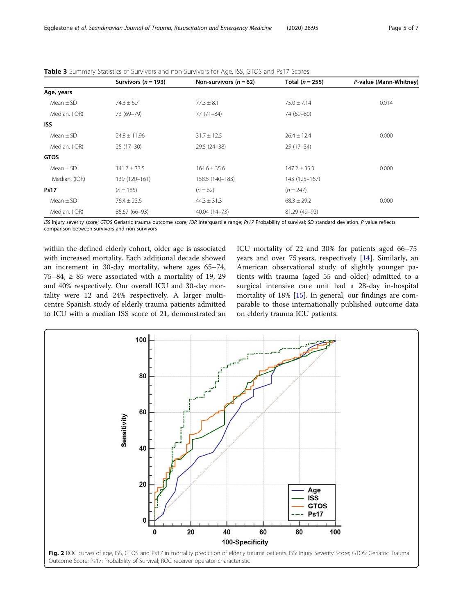|               | Survivors ( $n = 193$ ) | Non-survivors $(n = 62)$ | Total $(n = 255)$ | P-value (Mann-Whitney) |
|---------------|-------------------------|--------------------------|-------------------|------------------------|
| Age, years    |                         |                          |                   |                        |
| Mean $\pm$ SD | $74.3 \pm 6.7$          | $77.3 \pm 8.1$           | $75.0 + 7.14$     | 0.014                  |
| Median, (IQR) | 73 (69-79)              | $77(71 - 84)$            | 74 (69-80)        |                        |
| <b>ISS</b>    |                         |                          |                   |                        |
| Mean $\pm$ SD | $24.8 \pm 11.96$        | $31.7 \pm 12.5$          | $26.4 \pm 12.4$   | 0.000                  |
| Median, (IQR) | $25(17-30)$             | 29.5 (24-38)             | $25(17-34)$       |                        |
| <b>GTOS</b>   |                         |                          |                   |                        |
| Mean $\pm$ SD | $141.7 \pm 33.5$        | $164.6 \pm 35.6$         | $147.2 \pm 35.3$  | 0.000                  |
| Median, (IQR) | 139 (120-161)           | 158.5 (140-183)          | 143 (125-167)     |                        |
| <b>Ps17</b>   | $(n = 185)$             | $(n=62)$                 | $(n = 247)$       |                        |
| Mean $\pm$ SD | $76.4 \pm 23.6$         | $44.3 \pm 31.3$          | $68.3 \pm 29.2$   | 0.000                  |
| Median, (IQR) | 85.67 (66-93)           | 40.04 (14-73)            | 81.29 (49-92)     |                        |

<span id="page-4-0"></span>Table 3 Summary Statistics of Survivors and non-Survivors for Age, ISS, GTOS and Ps17 Scores

ISS Injury severity score; GTOS Geriatric trauma outcome score; IQR interquartile range; Ps17 Probability of survival; SD standard deviation. P value reflects comparison between survivors and non-survivors

within the defined elderly cohort, older age is associated with increased mortality. Each additional decade showed an increment in 30-day mortality, where ages 65–74, 75–84,  $\geq$  85 were associated with a mortality of 19, 29 and 40% respectively. Our overall ICU and 30-day mortality were 12 and 24% respectively. A larger multicentre Spanish study of elderly trauma patients admitted to ICU with a median ISS score of 21, demonstrated an ICU mortality of 22 and 30% for patients aged 66–75 years and over 75 years, respectively [\[14](#page-6-0)]. Similarly, an American observational study of slightly younger patients with trauma (aged 55 and older) admitted to a surgical intensive care unit had a 28-day in-hospital mortality of 18% [[15\]](#page-6-0). In general, our findings are comparable to those internationally published outcome data on elderly trauma ICU patients.

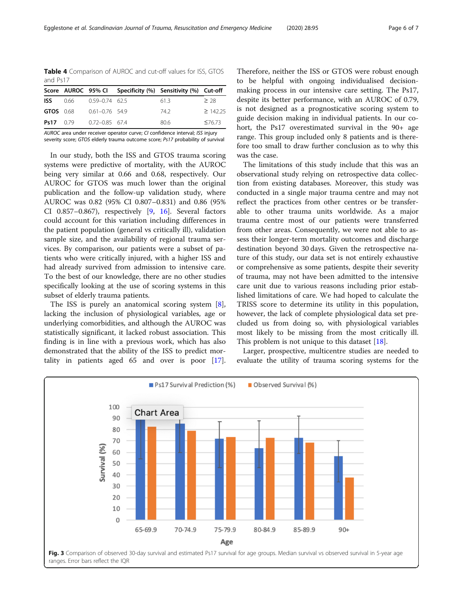<span id="page-5-0"></span>Table 4 Comparison of AUROC and cut-off values for ISS, GTOS and Ps17

|                  |      |                    | Score AUROC 95% CI Specificity (%) Sensitivity (%) Cut-off |        |
|------------------|------|--------------------|------------------------------------------------------------|--------|
| ISS I            | 0.66 | 0.59-0.74 62.5     | 613                                                        | > 28   |
| <b>GTOS</b> 0.68 |      | $0.61 - 0.76$ 54.9 | 742                                                        | >14225 |
| $Ps17 \t0.79$    |      | $0.72 - 0.85$ 67.4 | 80.6                                                       | ≤76.73 |

AUROC area under receiver operator curve; CI confidence interval; ISS injury severity score; GTOS elderly trauma outcome score; Ps17 probability of survival

In our study, both the ISS and GTOS trauma scoring systems were predictive of mortality, with the AUROC being very similar at 0.66 and 0.68, respectively. Our AUROC for GTOS was much lower than the original publication and the follow-up validation study, where AUROC was 0.82 (95% CI 0.807–0.831) and 0.86 (95% CI 0.857–0.867), respectively [\[9,](#page-6-0) [16\]](#page-6-0). Several factors could account for this variation including differences in the patient population (general vs critically ill), validation sample size, and the availability of regional trauma services. By comparison, our patients were a subset of patients who were critically injured, with a higher ISS and had already survived from admission to intensive care. To the best of our knowledge, there are no other studies specifically looking at the use of scoring systems in this subset of elderly trauma patients.

The ISS is purely an anatomical scoring system [\[8](#page-6-0)], lacking the inclusion of physiological variables, age or underlying comorbidities, and although the AUROC was statistically significant, it lacked robust association. This finding is in line with a previous work, which has also demonstrated that the ability of the ISS to predict mortality in patients aged 65 and over is poor [\[17](#page-6-0)].

Therefore, neither the ISS or GTOS were robust enough to be helpful with ongoing individualised decisionmaking process in our intensive care setting. The Ps17, despite its better performance, with an AUROC of 0.79, is not designed as a prognosticative scoring system to guide decision making in individual patients. In our cohort, the Ps17 overestimated survival in the 90+ age range. This group included only 8 patients and is therefore too small to draw further conclusion as to why this was the case.

The limitations of this study include that this was an observational study relying on retrospective data collection from existing databases. Moreover, this study was conducted in a single major trauma centre and may not reflect the practices from other centres or be transferable to other trauma units worldwide. As a major trauma centre most of our patients were transferred from other areas. Consequently, we were not able to assess their longer-term mortality outcomes and discharge destination beyond 30 days. Given the retrospective nature of this study, our data set is not entirely exhaustive or comprehensive as some patients, despite their severity of trauma, may not have been admitted to the intensive care unit due to various reasons including prior established limitations of care. We had hoped to calculate the TRISS score to determine its utility in this population, however, the lack of complete physiological data set precluded us from doing so, with physiological variables most likely to be missing from the most critically ill. This problem is not unique to this dataset  $[18]$  $[18]$ .

Larger, prospective, multicentre studies are needed to evaluate the utility of trauma scoring systems for the